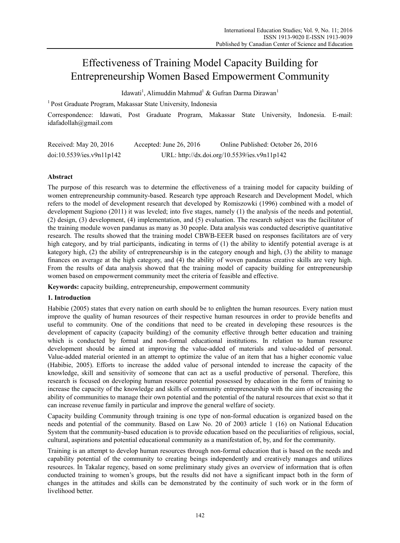# Effectiveness of Training Model Capacity Building for Entrepreneurship Women Based Empowerment Community

Idawati<sup>1</sup>, Alimuddin Mahmud<sup>1</sup> & Gufran Darma Dirawan<sup>1</sup>

1 Post Graduate Program, Makassar State University, Indonesia

Correspondence: Idawati, Post Graduate Program, Makassar State University, Indonesia. E-mail: idafadollah@gmail.com

| Received: May 20, 2016    | Accepted: June 26, 2016 | Online Published: October 26, 2016           |
|---------------------------|-------------------------|----------------------------------------------|
| doi:10.5539/ies.v9n11p142 |                         | URL: http://dx.doi.org/10.5539/ies.v9n11p142 |

# **Abstract**

The purpose of this research was to determine the effectiveness of a training model for capacity building of women entrepreneurship community-based. Research type approach Research and Development Model, which refers to the model of development research that developed by Romiszowki (1996) combined with a model of development Sugiono (2011) it was leveled; into five stages, namely (1) the analysis of the needs and potential, (2) design, (3) development, (4) implementation, and (5) evaluation. The research subject was the facilitator of the training module woven pandanus as many as 30 people. Data analysis was conducted descriptive quantitative research. The results showed that the training model CBWB-EEER based on responses facilitators are of very high category, and by trial participants, indicating in terms of (1) the ability to identify potential average is at kategory high, (2) the ability of entrepreneurship is in the category enough and high, (3) the ability to manage finances on average at the high category, and (4) the ability of woven pandanus creative skills are very high. From the results of data analysis showed that the training model of capacity building for entrepreneurship women based on empowerment community meet the criteria of feasible and effective.

**Keywords:** capacity building, entrepreneurship, empowerment community

# **1. Introduction**

Habibie (2005) states that every nation on earth should be to enlighten the human resources. Every nation must improve the quality of human resources of their respective human resources in order to provide benefits and useful to community. One of the conditions that need to be created in developing these resources is the development of capacity (capacity building) of the comunity effective through better education and training which is conducted by formal and non-formal educational institutions. In relation to human resource development should be aimed at improving the value-added of materials and value-added of personal. Value-added material oriented in an attempt to optimize the value of an item that has a higher economic value (Habibie, 2005). Efforts to increase the added value of personal intended to increase the capacity of the knowledge, skill and sensitivity of someone that can act as a useful productive of personal. Therefore, this research is focused on developing human resource potential possessed by education in the form of training to increase the capacity of the knowledge and skills of community entrepreneurship with the aim of increasing the ability of communities to manage their own potential and the potential of the natural resources that exist so that it can increase revenue family in particular and improve the general welfare of society.

Capacity building Community through training is one type of non-formal education is organized based on the needs and potential of the community. Based on Law No. 20 of 2003 article 1 (16) on National Education System that the community-based education is to provide education based on the peculiarities of religious, social, cultural, aspirations and potential educational community as a manifestation of, by, and for the community.

Training is an attempt to develop human resources through non-formal education that is based on the needs and capability potential of the community to creating beings independently and creatively manages and utilizes resources. In Takalar regency, based on some preliminary study gives an overview of information that is often conducted training to women's groups, but the results did not have a significant impact both in the form of changes in the attitudes and skills can be demonstrated by the continuity of such work or in the form of livelihood better.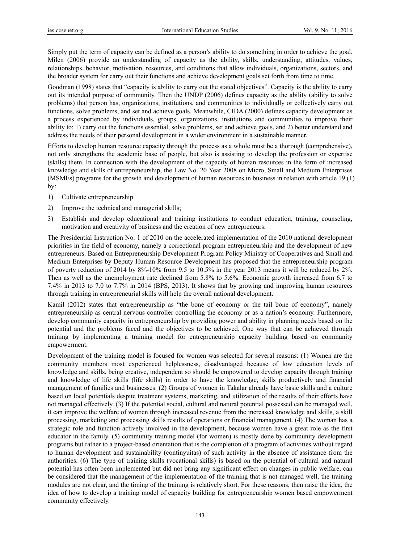Simply put the term of capacity can be defined as a person's ability to do something in order to achieve the goal. Milen (2006) provide an understanding of capacity as the ability, skills, understanding, attitudes, values, relationships, behavior, motivation, resources, and conditions that allow individuals, organizations, sectors, and the broader system for carry out their functions and achieve development goals set forth from time to time.

Goodman (1998) states that "capacity is ability to carry out the stated objectives". Capacity is the ability to carry out its intended purpose of community. Then the UNDP (2006) defines capacity as the ability (ability to solve problems) that person has, organizations, institutions, and communities to individually or collectively carry out functions, solve problems, and set and achieve goals. Meanwhile, CIDA (2000) defines capacity development as a process experienced by individuals, groups, organizations, institutions and communities to improve their ability to: 1) carry out the functions essential, solve problems, set and achieve goals, and 2) better understand and address the needs of their personal development in a wider environment in a sustainable manner.

Efforts to develop human resource capacity through the process as a whole must be a thorough (comprehensive), not only strengthens the academic base of people, but also is assisting to develop the profession or expertise (skills) them. In connection with the development of the capacity of human resources in the form of increased knowledge and skills of entrepreneurship, the Law No. 20 Year 2008 on Micro, Small and Medium Enterprises (MSMEs) programs for the growth and development of human resources in business in relation with article 19 (1) by:

- 1) Cultivate entrepreneurship
- 2) Improve the technical and managerial skills;
- 3) Establish and develop educational and training institutions to conduct education, training, counseling, motivation and creativity of business and the creation of new entrepreneurs.

The Presidential Instruction No. 1 of 2010 on the accelerated implementation of the 2010 national development priorities in the field of economy, namely a correctional program entrepreneurship and the development of new entrepreneurs. Based on Entrepreneurship Development Program Policy Ministry of Cooperatives and Small and Medium Enterprises by Deputy Human Resource Development has proposed that the entrepreneurship program of poverty reduction of 2014 by 8%-10% from 9.5 to 10.5% in the year 2013 means it will be reduced by 2%. Then as well as the unemployment rate declined from 5.8% to 5.6%. Economic growth increased from 6.7 to 7.4% in 2013 to 7.0 to 7.7% in 2014 (BPS, 2013). It shows that by growing and improving human resources through training in entrepreneurial skills will help the overall national development.

Kamil (2012) states that entrepreneurship as "the bone of economy or the tail bone of economy", namely entrepreneurship as central nervous controller controlling the economy or as a nation's economy. Furthermore, develop community capacity in entrepreneurship by providing power and ability in planning needs based on the potential and the problems faced and the objectives to be achieved. One way that can be achieved through training by implementing a training model for entrepreneurship capacity building based on community empowerment.

Development of the training model is focused for women was selected for several reasons: (1) Women are the community members most experienced helplessness, disadvantaged because of low education levels of knowledge and skills, being creative, independent so should be empowered to develop capacity through training and knowledge of life skills (life skills) in order to have the knowledge, skills productively and financial management of families and businesses. (2) Groups of women in Takalar already have basic skills and a culture based on local potentials despite treatment systems, marketing, and utilization of the results of their efforts have not managed effectively. (3) If the potential social, cultural and natural potential possessed can be managed well, it can improve the welfare of women through increased revenue from the increased knowledge and skills, a skill processing, marketing and processing skills results of operations or financial management. (4) The woman has a strategic role and function actively involved in the development, because women have a great role as the first educator in the family. (5) community training model (for women) is mostly done by community development programs but rather to a project-based orientation that is the completion of a program of activities without regard to human development and sustainability (continyuitas) of such activity in the absence of assistance from the authorities. (6) The type of training skills (vocational skills) is based on the potential of cultural and natural potential has often been implemented but did not bring any significant effect on changes in public welfare, can be considered that the management of the implementation of the training that is not managed well, the training modules are not clear, and the timing of the training is relatively short. For these reasons, then raise the idea, the idea of how to develop a training model of capacity building for entrepreneurship women based empowerment community effectively.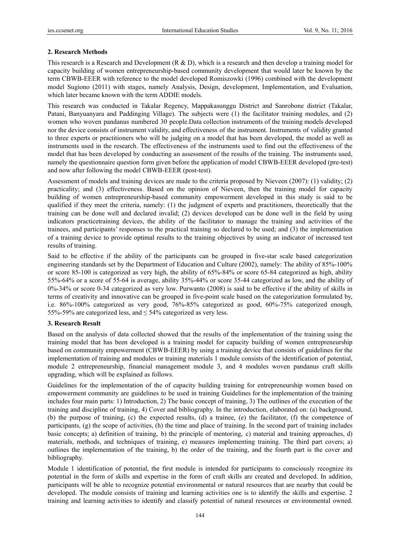# **2. Research Methods**

This research is a Research and Development (R & D), which is a research and then develop a training model for capacity building of women entrepreneurship-based community development that would later be known by the term CBWB-EEER with reference to the model developed Romiszowki (1996) combined with the development model Sugiono (2011) with stages, namely Analysis, Design, development, Implementation, and Evaluation, which later became known with the term ADDIE models.

This research was conducted in Takalar Regency, Mappakasunggu District and Sanrobone district (Takalar, Patani, Banyuanyara and Paddinging Village). The subjects were (1) the facilitator training modules, and (2) women who woven pandanus numbered 30 people.Data collection instruments of the training models developed nor the device consists of instrument validity, and effectiveness of the instrument. Instruments of validity granted to three experts or practitioners who will be judging on a model that has been developed, the model as well as instruments used in the research. The effectiveness of the instruments used to find out the effectiveness of the model that has been developed by conducting an assessment of the results of the training. The instruments used, namely the questionnaire question form given before the application of model CBWB-EEER developed (pre-test) and now after following the model CBWB-EEER (post-test).

Assessment of models and training devices are made to the criteria proposed by Nieveen (2007): (1) validity; (2) practicality; and (3) effectiveness. Based on the opinion of Nieveen, then the training model for capacity building of women entrepreneurship-based community empowerment developed in this study is said to be qualified if they meet the criteria, namely: (1) the judgment of experts and practitioners, theoretically that the training can be done well and declared invalid; (2) devices developed can be done well in the field by using indicators practicetraining devices, the ability of the facilitator to manage the training and activities of the trainees, and participants' responses to the practical training so declared to be used; and (3) the implementation of a training device to provide optimal results to the training objectives by using an indicator of increased test results of training.

Said to be effective if the ability of the participants can be grouped in five-star scale based categorization engineering standards set by the Department of Education and Culture (2002), namely: The ability of 85%-100% or score 85-100 is categorized as very high, the ability of 65%-84% or score 65-84 categorized as high, ability 55%-64% or a score of 55-64 is average, ability 35%-44% or score 35-44 categorized as low, and the ability of 0%-34% or score 0-34 categorized as very low. Purwanto (2008) is said to be effective if the ability of skills in terms of creativity and innovative can be grouped in five-point scale based on the categorization formulated by, i.e. 86%-100% categorized as very good, 76%-85% categorized as good, 60%-75% categorized enough, 55%-59% are categorized less, and  $\leq$  54% categorized as very less.

## **3. Research Result**

Based on the analysis of data collected showed that the results of the implementation of the training using the training model that has been developed is a training model for capacity building of women entrepreneurship based on community empowerment (CBWB-EEER) by using a training device that consists of guidelines for the implementation of training and modules or training materials 1 module consists of the identification of potential, module 2 entrepreneurship, financial management module 3, and 4 modules woven pandanus craft skills upgrading, which will be explained as follows.

Guidelines for the implementation of the of capacity building training for entrepreneurship women based on empowerment community are guidelines to be used in training Guidelines for the implementation of the training includes four main parts: 1) Introduction, 2) The basic concept of training, 3) The outlines of the execution of the training and discipline of training, 4) Cover and bibliography. In the introduction, elaborated on: (a) background, (b) the purpose of training, (c) the expected results, (d) a trainee, (e) the facilitator, (f) the competence of participants, (g) the scope of activities, (h) the time and place of training. In the second part of training includes basic concepts; a) definition of training, b) the principle of mentoring, c) material and training approaches, d) materials, methods, and techniques of training, e) measures implementing training. The third part covers; a) outlines the implementation of the training, b) the order of the training, and the fourth part is the cover and bibliography.

Module 1 identification of potential, the first module is intended for participants to consciously recognize its potential in the form of skills and expertise in the form of craft skills are created and developed. In addition, participants will be able to recognize potential environmental or natural resources that are nearby that could be developed. The module consists of training and learning activities one is to identify the skills and expertise. 2 training and learning activities to identify and classify potential of natural resources or environmental owned.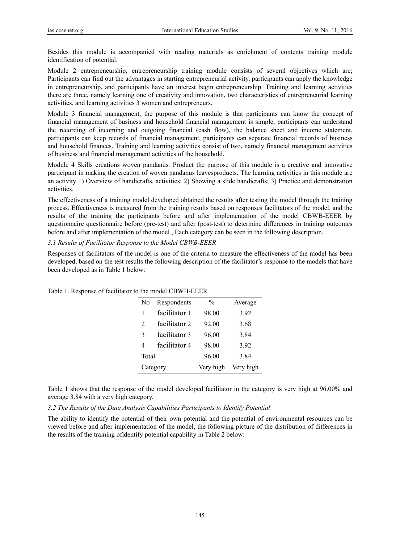Besides this module is accompanied with reading materials as enrichment of contents training module identification of potential.

Module 2 entrepreneurship, entrepreneurship training module consists of several objectives which are; Participants can find out the advantages in starting entrepreneurial activity, participants can apply the knowledge in entrepreneurship, and participants have an interest begin entrepreneurship. Training and learning activities there are three, namely learning one of creativity and innovation, two characteristics of entrepreneurial learning activities, and learning activities 3 women and entrepreneurs.

Module 3 financial management, the purpose of this module is that participants can know the concept of financial management of business and household financial management is simple, participants can understand the recording of incoming and outgoing financial (cash flow), the balance sheet and income statement, participants can keep records of financial management, participants can separate financial records of business and household finances. Training and learning activities consist of two, namely financial management activities of business and financial management activities of the household.

Module 4 Skills creations woven pandanus. Product the purpose of this module is a creative and innovative participant in making the creation of woven pandanus leavesproducts. The learning activities in this module are an activity 1) Overview of handicrafts, activities; 2) Showing a slide handicrafts; 3) Practice and demonstration activities.

The effectiveness of a training model developed obtained the results after testing the model through the training process. Effectiveness is measured from the training results based on responses facilitators of the model, and the results of the training the participants before and after implementation of the model CBWB-EEER by questionnaire questionnaire before (pre-test) and after (post-test) to determine differences in training outcomes before and after implementation of the model , Each category can be seen in the following description.

## *3.1 Results of Facilitator Response to the Model CBWB-EEER*

Responses of facilitators of the model is one of the criteria to measure the effectiveness of the model has been developed, based on the test results the following description of the facilitator's response to the models that have been developed as in Table 1 below:

| N <sub>0</sub> | Respondents   | $\frac{0}{0}$ | Average   |
|----------------|---------------|---------------|-----------|
| 1              | facilitator 1 | 98.00         | 3.92      |
| 2              | facilitator 2 | 92.00         | 3.68      |
| 3              | facilitator 3 | 96.00         | 3.84      |
| 4              | facilitator 4 | 98.00         | 3.92      |
| Total          |               | 96.00         | 3.84      |
|                | Category      | Very high     | Very high |

Table 1. Response of facilitator to the model CBWB-EEER

Table 1 shows that the response of the model developed facilitator in the category is very high at 96.00% and average 3.84 with a very high category.

*3.2 The Results of the Data Analysis Capabilities Participants to Identify Potential* 

The ability to identify the potential of their own potential and the potential of environmental resources can be viewed before and after implementation of the model, the following picture of the distribution of differences in the results of the training ofidentify potential capability in Table 2 below: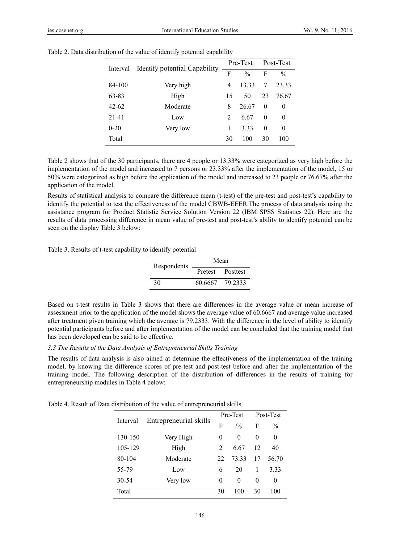| Interval  | Identify potential Capability |                | Pre-Test      |          | Post-Test     |  |
|-----------|-------------------------------|----------------|---------------|----------|---------------|--|
|           |                               | F              | $\frac{0}{0}$ | F        | $\frac{0}{0}$ |  |
| 84-100    | Very high                     | 4              | 13 33         | 7        | 23.33         |  |
| 63-83     | High                          | 15             | 50            | 23       | 76.67         |  |
| $42 - 62$ | Moderate                      | 8              | 26.67         | $\theta$ | $\theta$      |  |
| $21 - 41$ | Low                           | $\overline{2}$ | 6.67          | $\Omega$ | 0             |  |
| $0 - 20$  | Very low                      | 1              | 3.33          | 0        | 0             |  |
| Total     |                               | 30             | 100           | 30       | 100           |  |

Table 2. Data distribution of the value of identify potential capability

Table 2 shows that of the 30 participants, there are 4 people or 13.33% were categorized as very high before the implementation of the model and increased to 7 persons or 23.33% after the implementation of the model, 15 or 50% were categorized as high before the application of the model and increased to 23 people or 76.67% after the application of the model.

Results of statistical analysis to compare the difference mean (t-test) of the pre-test and post-test's capability to identify the potential to test the effectiveness of the model CBWB-EEER.The process of data analysis using the assistance program for Product Statistic Service Solution Version 22 (IBM SPSS Statistics 22). Here are the results of data processing difference in mean value of pre-test and post-test's ability to identify potential can be seen on the display Table 3 below:

Table 3. Results of t-test capability to identify potential

| Respondents | Mean    |                  |  |
|-------------|---------|------------------|--|
|             |         | Pretest Posttest |  |
| 30          | 60.6667 | - 79 2333        |  |

Based on t-test results in Table 3 shows that there are differences in the average value or mean increase of assessment prior to the application of the model shows the average value of 60.6667 and average value increased after treatment given training which the average is 79.2333. With the difference in the level of ability to identify potential participants before and after implementation of the model can be concluded that the training model that has been developed can be said to be effective.

#### *3.3 The Results of the Data Analysis of Entrepreneurial Skills Training*

The results of data analysis is also aimed at determine the effectiveness of the implementation of the training model, by knowing the difference scores of pre-test and post-test before and after the implementation of the training model. The following description of the distribution of differences in the results of training for entrepreneurship modules in Table 4 below:

| Table 4. Result of Data distribution of the value of entrepreneurial skills |  |  |
|-----------------------------------------------------------------------------|--|--|
|-----------------------------------------------------------------------------|--|--|

| Interval | Entrepreneurial skills |    | Pre-Test      |    | Post-Test     |
|----------|------------------------|----|---------------|----|---------------|
|          |                        | F  | $\frac{0}{0}$ | F  | $\frac{0}{0}$ |
| 130-150  | Very High              | 0  | 0             | 0  | 0             |
| 105-129  | High                   | 2  | 6.67          | 12 | 40            |
| 80-104   | Moderate               | 22 | 73.33         | 17 | 56.70         |
| 55-79    | Low                    | 6  | 20            |    | 3.33          |
| 30-54    | Very low               | 0  | 0             | 0  | 0             |
| Total    |                        | 30 | 100           | 30 | 100           |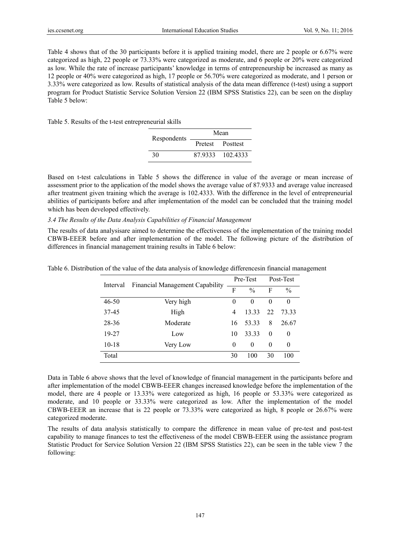Table 4 shows that of the 30 participants before it is applied training model, there are 2 people or 6.67% were categorized as high, 22 people or 73.33% were categorized as moderate, and 6 people or 20% were categorized as low. While the rate of increase participants' knowledge in terms of entrepreneurship be increased as many as 12 people or 40% were categorized as high, 17 people or 56.70% were categorized as moderate, and 1 person or 3.33% were categorized as low. Results of statistical analysis of the data mean difference (t-test) using a support program for Product Statistic Service Solution Version 22 (IBM SPSS Statistics 22), can be seen on the display Table 5 below:

Table 5. Results of the t-test entrepreneurial skills

| Respondents | Mean |                  |  |
|-------------|------|------------------|--|
|             |      | Pretest Posttest |  |
| 30          |      | 87 9333 102 4333 |  |

Based on t-test calculations in Table 5 shows the difference in value of the average or mean increase of assessment prior to the application of the model shows the average value of 87.9333 and average value increased after treatment given training which the average is 102.4333. With the difference in the level of entrepreneurial abilities of participants before and after implementation of the model can be concluded that the training model which has been developed effectively.

## *3.4 The Results of the Data Analysis Capabilities of Financial Management*

The results of data analysisare aimed to determine the effectiveness of the implementation of the training model CBWB-EEER before and after implementation of the model. The following picture of the distribution of differences in financial management training results in Table 6 below:

| Financial Management Capability<br>Interval |           | Pre-Test |               | Post-Test |               |
|---------------------------------------------|-----------|----------|---------------|-----------|---------------|
|                                             |           | F        | $\frac{0}{0}$ | F         | $\frac{0}{0}$ |
| $46 - 50$                                   | Very high | 0        | 0             | $\Omega$  | 0             |
| 37-45                                       | High      | 4        | 13.33         | 22        | 73.33         |
| 28-36                                       | Moderate  | 16       | 53.33         | 8         | 26.67         |
| 19-27                                       | Low       | 10       | 33.33         | $\theta$  | $\theta$      |
| $10 - 18$                                   | Very Low  | 0        | 0             | $\Omega$  | 0             |
| Total                                       |           | 30       | 100           | 30        | 100           |

Table 6. Distribution of the value of the data analysis of knowledge differencesin financial management

Data in Table 6 above shows that the level of knowledge of financial management in the participants before and after implementation of the model CBWB-EEER changes increased knowledge before the implementation of the model, there are 4 people or 13.33% were categorized as high, 16 people or 53.33% were categorized as moderate, and 10 people or 33.33% were categorized as low. After the implementation of the model CBWB-EEER an increase that is 22 people or 73.33% were categorized as high, 8 people or 26.67% were categorized moderate.

The results of data analysis statistically to compare the difference in mean value of pre-test and post-test capability to manage finances to test the effectiveness of the model CBWB-EEER using the assistance program Statistic Product for Service Solution Version 22 (IBM SPSS Statistics 22), can be seen in the table view 7 the following: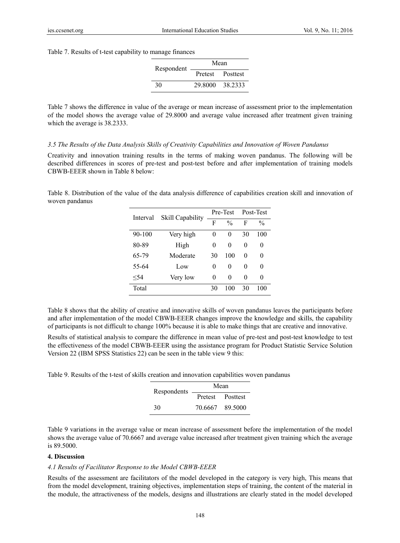Table 7. Results of t-test capability to manage finances

| Respondent | Mean            |                  |  |
|------------|-----------------|------------------|--|
|            |                 | Pretest Posttest |  |
| 30         | 29 8000 38 2333 |                  |  |

Table 7 shows the difference in value of the average or mean increase of assessment prior to the implementation of the model shows the average value of 29.8000 and average value increased after treatment given training which the average is 38.2333.

#### *3.5 The Results of the Data Analysis Skills of Creativity Capabilities and Innovation of Woven Pandanus*

Creativity and innovation training results in the terms of making woven pandanus. The following will be described differences in scores of pre-test and post-test before and after implementation of training models CBWB-EEER shown in Table 8 below:

Table 8. Distribution of the value of the data analysis difference of capabilities creation skill and innovation of woven pandanus

| Interval   | Skill Capability |    | Pre-Test      |    | Post-Test     |
|------------|------------------|----|---------------|----|---------------|
|            |                  | F  | $\frac{0}{0}$ | F  | $\frac{0}{0}$ |
| $90 - 100$ | Very high        | 0  | 0             | 30 | 100           |
| 80-89      | High             | 0  | 0             | 0  | 0             |
| 65-79      | Moderate         | 30 | 100           | 0  | 0             |
| 55-64      | Low              | 0  | 0             | 0  | 0             |
| < 54       | Very low         | 0  | 0             | 0  | 0             |
| Total      |                  | 30 | 100           | 30 | 100           |

Table 8 shows that the ability of creative and innovative skills of woven pandanus leaves the participants before and after implementation of the model CBWB-EEER changes improve the knowledge and skills, the capability of participants is not difficult to change 100% because it is able to make things that are creative and innovative.

Results of statistical analysis to compare the difference in mean value of pre-test and post-test knowledge to test the effectiveness of the model CBWB-EEER using the assistance program for Product Statistic Service Solution Version 22 (IBM SPSS Statistics 22) can be seen in the table view 9 this:

Table 9. Results of the t-test of skills creation and innovation capabilities woven pandanus

| Respondents | Mean            |                  |  |
|-------------|-----------------|------------------|--|
|             |                 | Pretest Posttest |  |
| 30          | 70.6667 89.5000 |                  |  |

Table 9 variations in the average value or mean increase of assessment before the implementation of the model shows the average value of 70.6667 and average value increased after treatment given training which the average is 89.5000.

#### **4. Discussion**

#### *4.1 Results of Facilitator Response to the Model CBWB-EEER*

Results of the assessment are facilitators of the model developed in the category is very high, This means that from the model development, training objectives, implementation steps of training, the content of the material in the module, the attractiveness of the models, designs and illustrations are clearly stated in the model developed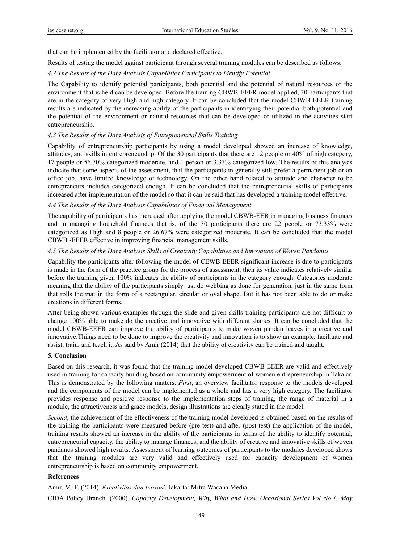that can be implemented by the facilitator and declared effective.

Results of testing the model against participant through several training modules can be described as follows:

## *4.2 The Results of the Data Analysis Capabilities Participants to Identify Potential*

The Capability to identify potential participants, both potential and the potential of natural resources or the environment that is held can be developed. Before the training CBWB-EEER model applied, 30 participants that are in the category of very High and high category. It can be concluded that the model CBWB-EEER training results are indicated by the increasing ability of the participants in identifying their potential both potential and the potential of the environment or natural resources that can be developed or utilized in the activities start entrepreneurship.

## *4.3 The Results of the Data Analysis of Entrepreneurial Skills Training*

Capability of entrepreneurship participants by using a model developed showed an increase of knowledge, attitudes, and skills in entrepreneurship. Of the 30 participants that there are 12 people or 40% of high category, 17 people or 56.70% categorized moderate, and 1 person or 3.33% categorized low. The results of this analysis indicate that some aspects of the assessment, that the participants in generally still prefer a permanent job or an office job, have limited knowledge of technology. On the other hand related to attitude and character to be entrepreneurs includes categorized enough. It can be concluded that the entrepreneurial skills of participants increased after implementation of the model so that it can be said that has developed a training model effective.

#### *4.4 The Results of the Data Analysis Capabilities of Financial Management*

The capability of participants has increased after applying the model CBWB-EER in managing business finances and in managing household finances that is, of the 30 participants there are 22 people or 73.33% were categorized as High and 8 people or 26.67% were categorized moderate. It can be concluded that the model CBWB -EEER effective in improving financial management skills.

#### *4.5 The Results of the Data Analysis Skills of Creativity Capabilities and Innovation of Woven Pandanus*

Capability the participants after following the model of CEWB-EEER significant increase is due to participants is made in the form of the practice group for the process of assessment, then its value indicates relatively similar before the training given 100% indicates the ability of participants in the category enough. Categories moderate meaning that the ability of the participants simply just do webbing as done for generation, just in the same form that rolls the mat in the form of a rectangular, circular or oval shape. But it has not been able to do or make creations in different forms.

After being shown various examples through the slide and given skills training participants are not difficult to change 100% able to make do the creative and innovative with different shapes. It can be concluded that the model CBWB-EEER can improve the ability of participants to make woven pandan leaves in a creative and innovative.Things need to be done to improve the creativity and innovation is to show an example, facilitate and assist, train, and teach it. As said by Amir (2014) that the ability of creativity can be trained and taught.

#### **5. Conclusion**

Based on this research, it was found that the training model developed CBWB-EEER are valid and effectively used in training for capacity building based on community empowerment of women entrepreneurship in Takalar. This is demonstrated by the following matters. *First*, an overview facilitator response to the models developed and the components of the model can be implemented as a whole and has a very high category. The facilitator provides response and positive response to the implementation steps of training, the range of material in a module, the attractiveness and grace models, design illustrations are clearly stated in the model.

*Second*, the achievement of the effectiveness of the training model developed is obtained based on the results of the training the participants were measured before (pre-test) and after (post-test) the application of the model, training results showed an increase in the ability of the participants in terms of the ability to identify potential, entrepreneurial capacity, the ability to manage finances, and the ability of creative and innovative skills of woven pandanus showed high results. Assessment of learning outcomes of participants to the modules developed shows that the training modules are very valid and effectively used for capacity development of women entrepreneurship is based on community empowerment.

#### **References**

Amir, M. F. (2014). *Kreativitas dan Inovasi*. Jakarta: Mitra Wacana Media.

CIDA Policy Branch. (2000). *Capacity Development, Why, What and How. Occasional Series Vol No.1, May*